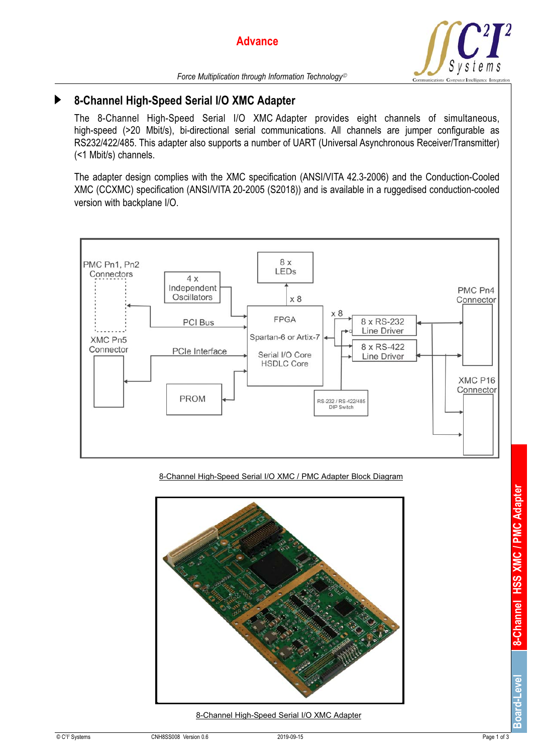

# **8-Channel High-Speed Serial I/O XMC Adapter**

The 8-Channel High-Speed Serial I/O XMC Adapter provides eight channels of simultaneous, high-speed (>20 Mbit/s), bi-directional serial communications. All channels are jumper configurable as RS232/422/485. This adapter also supports a number of UART (Universal Asynchronous Receiver/Transmitter) (<1 Mbit/s) channels.

The adapter design complies with the XMC specification (ANSI/VITA 42.3-2006) and the Conduction-Cooled XMC (CCXMC) specification (ANSI/VITA 20-2005 (S2018)) and is available in a ruggedised conduction-cooled version with backplane I/O.



8-Channel High-Speed Serial I/O XMC / PMC Adapter Block Diagram



8-Channel High-Speed Serial I/O XMC Adapter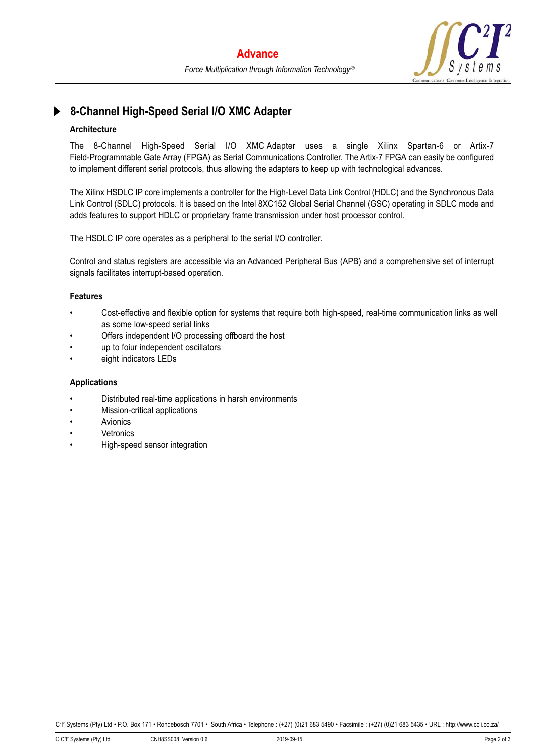

## **8-Channel High-Speed Serial I/O XMC Adapter**

### **Architecture**

The 8-Channel High-Speed Serial I/O XMC Adapter uses a single Xilinx Spartan-6 or Artix-7 Field-Programmable Gate Array (FPGA) as Serial Communications Controller. The Artix -7 FPGA can easily be configured to implement different serial protocols, thus allowing the adapters to keep up with technological advances.

The Xilinx HSDLC IP core implements a controller for the High-Level Data Link Control (HDLC) and the Synchronous Data Link Control (SDLC) protocols. It is based on the Intel 8XC152 Global Serial Channel (GSC) operating in SDLC mode and adds features to support HDLC or proprietary frame transmission under host processor control.

The HSDLC IP core operates as a peripheral to the serial I/O controller.

Control and status registers are accessible via an Advanced Peripheral Bus (APB) and a comprehensive set of interrupt signals facilitates interrupt-based operation.

#### **Features**

- Cost-effective and flexible option for systems that require both high-speed, real-time communication links as well as some low-speed serial links
- Offers independent I/O processing offboard the host
- up to foiur independent oscillators
- eight indicators LEDs

#### **Applications**

- Distributed real-time applications in harsh environments
- Mission-critical applications
- **Avionics**
- **Vetronics**
- High-speed sensor integration

Cªlº Systems (Pty) Ltd • P.O. Box 171 • Rondebosch 7701 • South Africa • Telephone : (+27) (0)21 683 5490 • Facsimile : (+27) (0)21 683 5435 • URL : http://www.ccii.co.za/